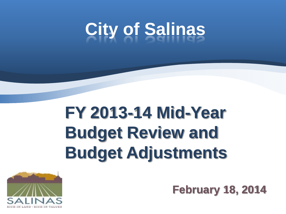# **City of Salinas**

#### **FY 2013-14 Mid-Year Budget Review and Budget Adjustments**



**February 18, 2014**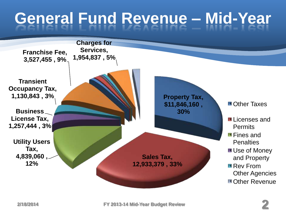### **General Fund Revenue – Mid-Year**

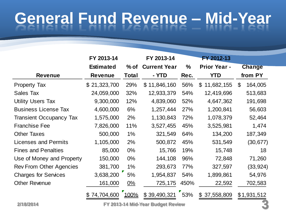## **General Fund Revenue – Mid-Year**

|                                | FY 2013-14       |              | FY 2013-14          |      | FY 2012-13                   |                           |
|--------------------------------|------------------|--------------|---------------------|------|------------------------------|---------------------------|
|                                | <b>Estimated</b> | $%$ of       | <b>Current Year</b> | $\%$ | <b>Prior Year -</b>          | <b>Change</b>             |
| <b>Revenue</b>                 | <b>Revenue</b>   | <b>Total</b> | - YTD               | Rec. | <b>YTD</b>                   | from PY                   |
| <b>Property Tax</b>            | \$21,323,700     | 29%          | \$11,846,160        | 56%  | \$11,682,155                 | $\mathfrak{L}$<br>164,005 |
| <b>Sales Tax</b>               | 24,059,000       | 32%          | 12,933,379          | 54%  | 12,419,696                   | 513,683                   |
| <b>Utility Users Tax</b>       | 9,300,000        | 12%          | 4,839,060           | 52%  | 4,647,362                    | 191,698                   |
| <b>Business License Tax</b>    | 4,600,000        | 6%           | 1,257,444           | 27%  | 1,200,841                    | 56,603                    |
| <b>Transient Occupancy Tax</b> | 1,575,000        | 2%           | 1,130,843           | 72%  | 1,078,379                    | 52,464                    |
| <b>Franchise Fee</b>           | 7,826,000        | 11%          | 3,527,455           | 45%  | 3,525,981                    | 1,474                     |
| <b>Other Taxes</b>             | 500,000          | $1\%$        | 321,549             | 64%  | 134,200                      | 187,349                   |
| Licenses and Permits           | 1,105,000        | 2%           | 500,872             | 45%  | 531,549                      | (30, 677)                 |
| <b>Fines and Penalties</b>     | 85,000           | $0\%$        | 15,766              | 19%  | 15,748                       | 18                        |
| Use of Money and Property      | 150,000          | $0\%$        | 144,108             | 96%  | 72,848                       | 71,260                    |
| <b>Rev From Other Agencies</b> | 381,700          | 1%           | 293,673             | 77%  | 327,597                      | (33, 924)                 |
| <b>Charges for Services</b>    | 3,638,200        | 5%           | 1,954,837           | 54%  | 1,899,861                    | 54,976                    |
| <b>Other Revenue</b>           | 161,000          | 0%           | 725,175             | 450% | 22,592                       | 702,583                   |
|                                | 74,704,600       | 100%         | \$39,490,321        | 53%  | 37,558,809<br>$\mathfrak{L}$ | \$1,931,512               |

**2/18/2014 FY 2013-14 Mid-Year Budget Review 3**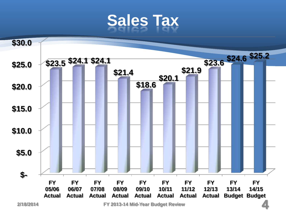#### **Sales Tax**



**2/18/2014 FY 2013-14 Mid-Year Budget Review 4**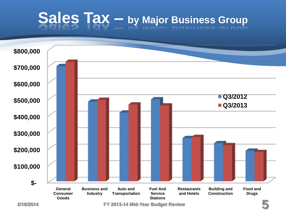# **Sales Tax – by Major Business Group**

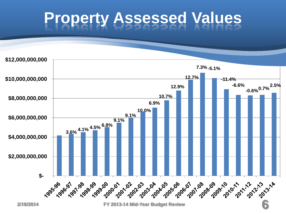#### **Property Assessed Values**

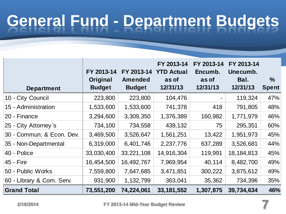## **General Fund - Department Budgets**

| <b>Department</b>         | FY 2013-14<br>Original<br><b>Budget</b> | FY 2013-14<br><b>Amended</b><br><b>Budget</b> | FY 2013-14<br><b>YTD Actual</b><br>as of<br>12/31/13 | FY 2013-14<br>Encumb.<br>as of<br>12/31/13 | FY 2013-14<br>Unecumb.<br>Bal.<br>12/31/13 | $\%$<br><b>Spent</b> |
|---------------------------|-----------------------------------------|-----------------------------------------------|------------------------------------------------------|--------------------------------------------|--------------------------------------------|----------------------|
| 10 - City Council         | 223,800                                 | 223,800                                       | 104,476                                              |                                            | 119,324                                    | 47%                  |
| 15 - Administration       | 1,533,600                               | 1,533,600                                     | 741,378                                              | 418                                        | 791,805                                    | 48%                  |
| 20 - Finance              | 3,294,600                               | 3,309,350                                     | 1,376,389                                            | 160,982                                    | 1,771,979                                  | 46%                  |
| 25 - City Attorney's      | 734,100                                 | 734,558                                       | 439,132                                              | 75                                         | 295,351                                    | 60%                  |
| 30 - Commun. & Econ. Dev. | 3,469,500                               | 3,526,647                                     | 1,561,251                                            | 13,422                                     | 1,951,973                                  | 45%                  |
| 35 - Non-Departmental     | 6,319,000                               | 6,401,746                                     | 2,237,776                                            | 637,289                                    | 3,526,681                                  | 44%                  |
| 40 - Police               | 33,030,400                              | 33,221,108                                    | 14,916,304                                           | 119,991                                    | 18, 184, 813                               | 45%                  |
| 45 - Fire                 | 16,454,500                              | 16,492,767                                    | 7,969,954                                            | 40,114                                     | 8,482,700                                  | 49%                  |
| 50 - Public Works         | 7,559,800                               | 7,647,685                                     | 3,471,851                                            | 300,222                                    | 3,875,612                                  | 49%                  |
| 60 - Library & Com. Serv. | 931,900                                 | 1,132,799                                     | 363,041                                              | 35,362                                     | 734,396                                    | 35%                  |
| <b>Grand Total</b>        | 73,551,200                              | 74,224,061                                    | 33, 181, 552                                         | 1,307,875                                  | 39,734,634                                 | 46%                  |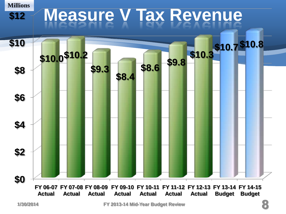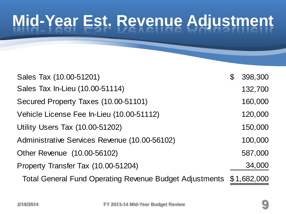### **Mid-Year Est. Revenue Adjustment**

| Sales Tax (10.00-51201)                                             | 398,300 |
|---------------------------------------------------------------------|---------|
| Sales Tax In-Lieu (10.00-51114)                                     | 132,700 |
| Secured Property Taxes (10.00-51101)                                | 160,000 |
| Vehicle License Fee In-Lieu (10.00-51112)                           | 120,000 |
| <b>Utility Users Tax (10.00-51202)</b>                              | 150,000 |
| Administrative Services Revenue (10.00-56102)                       | 100,000 |
| Other Revenue (10.00-56102)                                         | 587,000 |
| Property Transfer Tax (10.00-51204)                                 | 34,000  |
| Total General Fund Operating Revenue Budget Adjustments \$1,682,000 |         |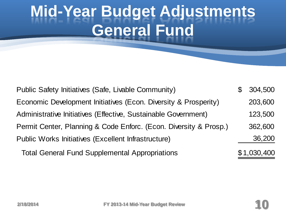#### **Mid-Year Budget Adjustments General Fund**

| Public Safety Initiatives (Safe, Livable Community)               | \$<br>304,500 |
|-------------------------------------------------------------------|---------------|
| Economic Development Initiatives (Econ. Diversity & Prosperity)   | 203,600       |
| Administrative Initiatives (Effective, Sustainable Government)    | 123,500       |
| Permit Center, Planning & Code Enforc. (Econ. Diversity & Prosp.) | 362,600       |
| Public Works Initiatives (Excellent Infrastructure)               | 36,200        |
| <b>Total General Fund Supplemental Appropriations</b>             | \$1,030,400   |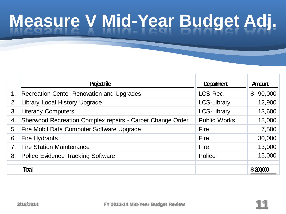# **Measure V Mid-Year Budget Adj.**

|    | <b>Project Title</b>                                      | Department          | Amount                |
|----|-----------------------------------------------------------|---------------------|-----------------------|
|    | Recreation Center Renovation and Upgrades                 | LCS-Rec.            | 90,000<br>$\mathbb S$ |
| 2. | Library Local History Upgrade                             | <b>LCS-Library</b>  | 12,900                |
| 3. | <b>Literacy Computers</b>                                 | <b>LCS-Library</b>  | 13,600                |
| 4. | Sherwood Recreation Complex repairs - Carpet Change Order | <b>Public Works</b> | 18,000                |
| 5. | Fire Mobil Data Computer Software Upgrade                 | Fire                | 7,500                 |
| 6. | <b>Fire Hydrants</b>                                      | Fire                | 30,000                |
| 7. | <b>Fire Station Maintenance</b>                           | <b>Fire</b>         | 13,000                |
| 8. | <b>Police Evidence Tracking Software</b>                  | Police              | 15,000                |
|    | <b>Toal</b>                                               |                     |                       |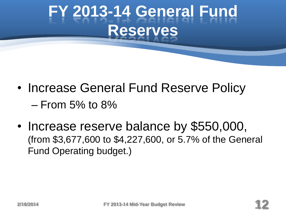#### **FY 2013-14 General Fund Reserves**

- Increase General Fund Reserve Policy  $-$  From 5% to 8%
- Increase reserve balance by \$550,000, (from \$3,677,600 to \$4,227,600, or 5.7% of the General Fund Operating budget.)